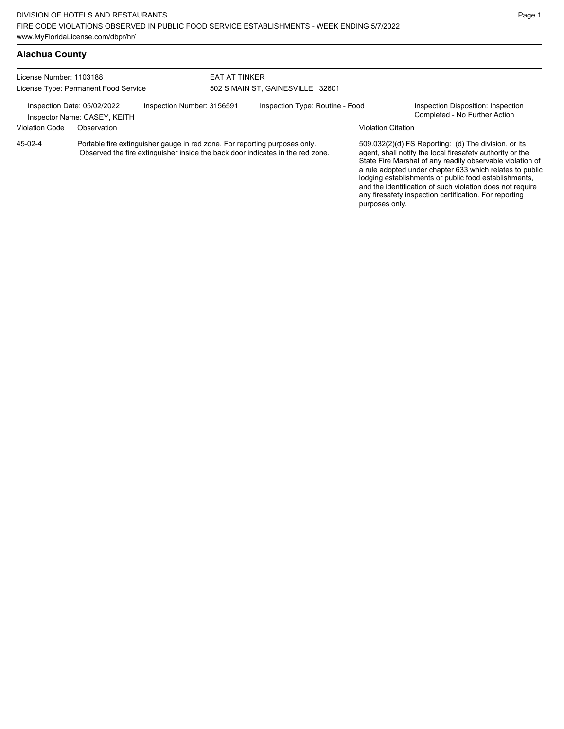# **Alachua County**

| License Number: 1103188<br>License Type: Permanent Food Service |                                                                                                                                                              | <b>EAT AT TINKER</b><br>502 S MAIN ST, GAINESVILLE 32601 |  |  |                           |                                                                                                                                                                                                                                                                                                                                                                  |
|-----------------------------------------------------------------|--------------------------------------------------------------------------------------------------------------------------------------------------------------|----------------------------------------------------------|--|--|---------------------------|------------------------------------------------------------------------------------------------------------------------------------------------------------------------------------------------------------------------------------------------------------------------------------------------------------------------------------------------------------------|
|                                                                 |                                                                                                                                                              |                                                          |  |  |                           |                                                                                                                                                                                                                                                                                                                                                                  |
| <b>Violation Code</b>                                           | Observation                                                                                                                                                  |                                                          |  |  | <b>Violation Citation</b> |                                                                                                                                                                                                                                                                                                                                                                  |
| $45-02-4$                                                       | Portable fire extinguisher gauge in red zone. For reporting purposes only.<br>Observed the fire extinguisher inside the back door indicates in the red zone. |                                                          |  |  |                           | 509.032(2)(d) FS Reporting: (d) The division, or its<br>agent, shall notify the local firesafety authority or the<br>State Fire Marshal of any readily observable violation of<br>a rule adopted under chapter 633 which relates to public<br>lodging establishments or public food establishments,<br>and the identification of such violation does not require |

any firesafety inspection certification. For reporting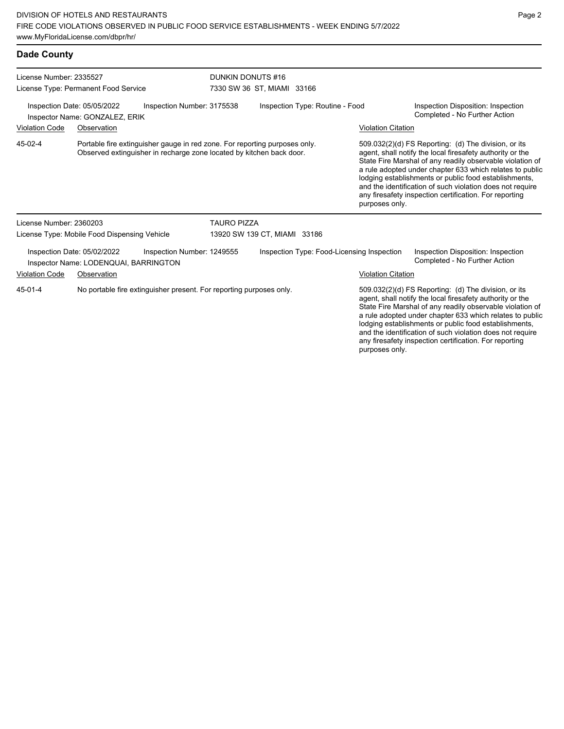| Dade County                                                                                                                  |                                                                      |                                                                                                                                                    |                                                 |                                                                     |                                            |                           |                                                                                                                                                                                                                                                                                                                                                                                                                            |
|------------------------------------------------------------------------------------------------------------------------------|----------------------------------------------------------------------|----------------------------------------------------------------------------------------------------------------------------------------------------|-------------------------------------------------|---------------------------------------------------------------------|--------------------------------------------|---------------------------|----------------------------------------------------------------------------------------------------------------------------------------------------------------------------------------------------------------------------------------------------------------------------------------------------------------------------------------------------------------------------------------------------------------------------|
| License Number: 2335527<br>License Type: Permanent Food Service                                                              |                                                                      |                                                                                                                                                    | DUNKIN DONUTS #16<br>7330 SW 36 ST, MIAMI 33166 |                                                                     |                                            |                           |                                                                                                                                                                                                                                                                                                                                                                                                                            |
| Inspection Date: 05/05/2022<br>Inspection Number: 3175538<br>Inspector Name: GONZALEZ, ERIK<br>Violation Code<br>Observation |                                                                      | Inspection Type: Routine - Food<br><b>Violation Citation</b>                                                                                       |                                                 | Inspection Disposition: Inspection<br>Completed - No Further Action |                                            |                           |                                                                                                                                                                                                                                                                                                                                                                                                                            |
| 45-02-4                                                                                                                      |                                                                      | Portable fire extinguisher gauge in red zone. For reporting purposes only.<br>Observed extinguisher in recharge zone located by kitchen back door. |                                                 |                                                                     |                                            | purposes only.            | 509.032(2)(d) FS Reporting: (d) The division, or its<br>agent, shall notify the local firesafety authority or the<br>State Fire Marshal of any readily observable violation of<br>a rule adopted under chapter 633 which relates to public<br>lodging establishments or public food establishments,<br>and the identification of such violation does not require<br>any firesafety inspection certification. For reporting |
| License Number: 2360203                                                                                                      |                                                                      |                                                                                                                                                    | <b>TAURO PIZZA</b>                              |                                                                     |                                            |                           |                                                                                                                                                                                                                                                                                                                                                                                                                            |
|                                                                                                                              | License Type: Mobile Food Dispensing Vehicle                         |                                                                                                                                                    | 13920 SW 139 CT, MIAMI 33186                    |                                                                     |                                            |                           |                                                                                                                                                                                                                                                                                                                                                                                                                            |
|                                                                                                                              | Inspection Date: 05/02/2022<br>Inspector Name: LODENQUAI, BARRINGTON | Inspection Number: 1249555                                                                                                                         |                                                 |                                                                     | Inspection Type: Food-Licensing Inspection |                           | Inspection Disposition: Inspection<br>Completed - No Further Action                                                                                                                                                                                                                                                                                                                                                        |
| <b>Violation Code</b>                                                                                                        | Observation                                                          |                                                                                                                                                    |                                                 |                                                                     |                                            | <b>Violation Citation</b> |                                                                                                                                                                                                                                                                                                                                                                                                                            |
| 45-01-4<br>No portable fire extinguisher present. For reporting purposes only.                                               |                                                                      |                                                                                                                                                    |                                                 |                                                                     |                                            |                           | 509.032(2)(d) FS Reporting: (d) The division, or its<br>agent, shall notify the local firesafety authority or the                                                                                                                                                                                                                                                                                                          |

State Fire Marshal of any readily observable violation of a rule adopted under chapter 633 which relates to public lodging establishments or public food establishments, and the identification of such violation does not require any firesafety inspection certification. For reporting purposes only.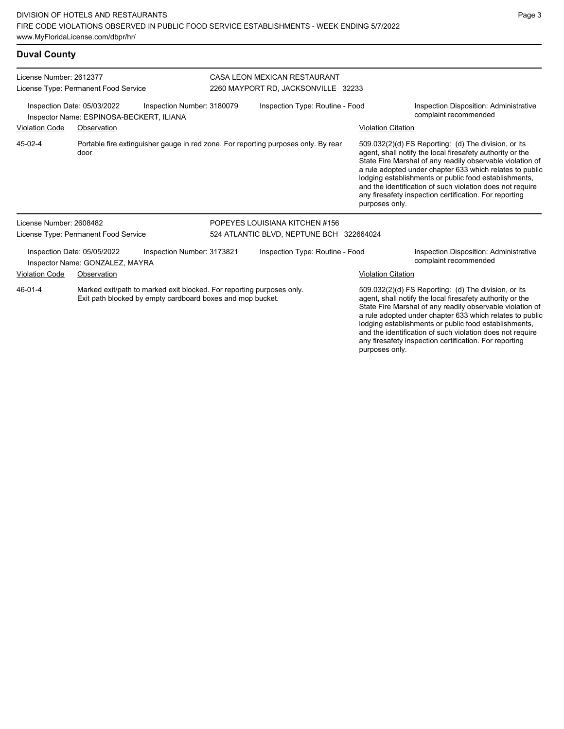| <b>Duval County</b>                                                                                                                                                      |                             |                            |                                                                                    |                                                                     |                    |                                                                                                                                                                                                                                                                                                                                                                                                                                              |  |  |
|--------------------------------------------------------------------------------------------------------------------------------------------------------------------------|-----------------------------|----------------------------|------------------------------------------------------------------------------------|---------------------------------------------------------------------|--------------------|----------------------------------------------------------------------------------------------------------------------------------------------------------------------------------------------------------------------------------------------------------------------------------------------------------------------------------------------------------------------------------------------------------------------------------------------|--|--|
| License Number: 2612377<br>License Type: Permanent Food Service<br>Inspection Number: 3180079<br>Inspection Date: 05/03/2022<br>Inspector Name: ESPINOSA-BECKERT, ILIANA |                             |                            |                                                                                    | CASA LEON MEXICAN RESTAURANT<br>2260 MAYPORT RD, JACKSONVILLE 32233 |                    |                                                                                                                                                                                                                                                                                                                                                                                                                                              |  |  |
|                                                                                                                                                                          |                             |                            | Inspection Type: Routine - Food                                                    |                                                                     |                    | Inspection Disposition: Administrative<br>complaint recommended                                                                                                                                                                                                                                                                                                                                                                              |  |  |
| <b>Violation Code</b>                                                                                                                                                    | Observation                 |                            |                                                                                    |                                                                     | Violation Citation |                                                                                                                                                                                                                                                                                                                                                                                                                                              |  |  |
| 45-02-4                                                                                                                                                                  | door                        |                            | Portable fire extinguisher gauge in red zone. For reporting purposes only. By rear |                                                                     |                    | 509.032(2)(d) FS Reporting: (d) The division, or its<br>agent, shall notify the local firesafety authority or the<br>State Fire Marshal of any readily observable violation of<br>a rule adopted under chapter 633 which relates to public<br>lodging establishments or public food establishments,<br>and the identification of such violation does not require<br>any firesafety inspection certification. For reporting<br>purposes only. |  |  |
| License Number: 2608482<br>License Type: Permanent Food Service                                                                                                          |                             |                            | POPEYES LOUISIANA KITCHEN #156<br>524 ATLANTIC BLVD, NEPTUNE BCH 322664024         |                                                                     |                    |                                                                                                                                                                                                                                                                                                                                                                                                                                              |  |  |
|                                                                                                                                                                          | Inspection Date: 05/05/2022 | Inspection Number: 3173821 |                                                                                    | Inspection Type: Routine - Food                                     |                    | Inspection Disposition: Administrative                                                                                                                                                                                                                                                                                                                                                                                                       |  |  |

Inspection Date: 05/05/2022 Inspection Number: 3173821 Inspection Type: Routine - Food Inspection Disposition: Administrative<br>Inspector Name: GONZALEZ MAYRA Inspector Name: GONZALEZ, MAYRA Violation Code Observation Violation Citation 46-01-4

Marked exit/path to marked exit blocked. For reporting purposes only. Exit path blocked by empty cardboard boxes and mop bucket.

509.032(2)(d) FS Reporting: (d) The division, or its agent, shall notify the local firesafety authority or the State Fire Marshal of any readily observable violation of a rule adopted under chapter 633 which relates to public lodging establishments or public food establishments, and the identification of such violation does not require any firesafety inspection certification. For reporting purposes only.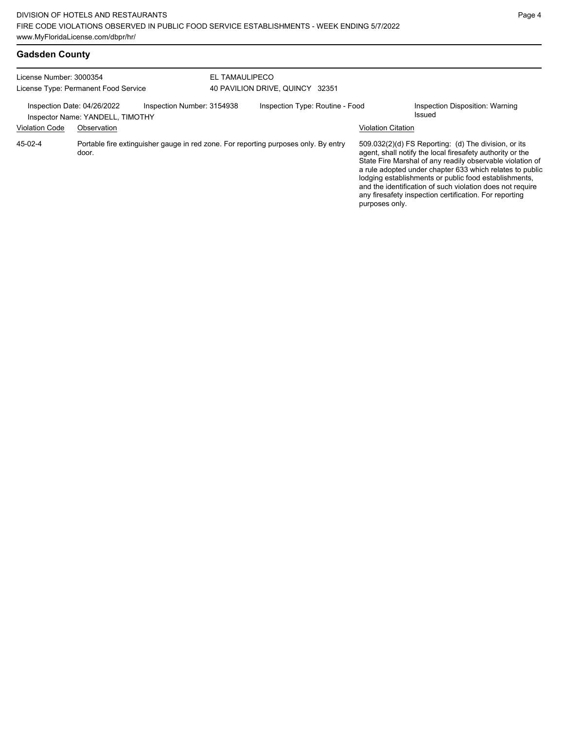| License Number: 3000354                              | License Type: Permanent Food Service                                                         |                            | EL TAMAULIPECO<br>40 PAVILION DRIVE, QUINCY 32351            |                |                                                                                                                                                                                                                                                                                                                                                                                                                            |  |
|------------------------------------------------------|----------------------------------------------------------------------------------------------|----------------------------|--------------------------------------------------------------|----------------|----------------------------------------------------------------------------------------------------------------------------------------------------------------------------------------------------------------------------------------------------------------------------------------------------------------------------------------------------------------------------------------------------------------------------|--|
| Inspection Date: 04/26/2022<br><b>Violation Code</b> | Inspector Name: YANDELL, TIMOTHY<br>Observation                                              | Inspection Number: 3154938 | Inspection Type: Routine - Food<br><b>Violation Citation</b> |                | Inspection Disposition: Warning<br>Issued                                                                                                                                                                                                                                                                                                                                                                                  |  |
| 45-02-4                                              | Portable fire extinguisher gauge in red zone. For reporting purposes only. By entry<br>door. |                            |                                                              | purposes only. | 509.032(2)(d) FS Reporting: (d) The division, or its<br>agent, shall notify the local firesafety authority or the<br>State Fire Marshal of any readily observable violation of<br>a rule adopted under chapter 633 which relates to public<br>lodging establishments or public food establishments,<br>and the identification of such violation does not require<br>any firesafety inspection certification. For reporting |  |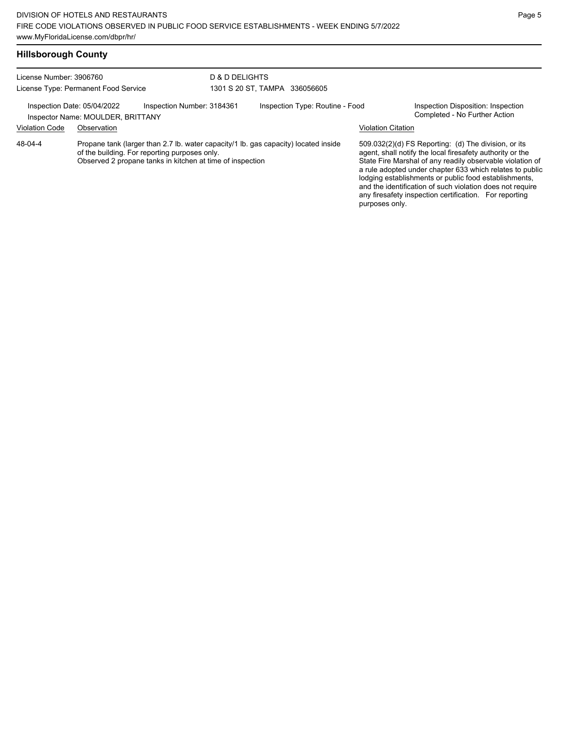| License Number: 3906760                                                                        |             |                                                                                                                                                                                                   | D & D DELIGHTS                  |                               |  |                                                                                                                                                                                                                                                                                                                                                                                                                                                |  |  |
|------------------------------------------------------------------------------------------------|-------------|---------------------------------------------------------------------------------------------------------------------------------------------------------------------------------------------------|---------------------------------|-------------------------------|--|------------------------------------------------------------------------------------------------------------------------------------------------------------------------------------------------------------------------------------------------------------------------------------------------------------------------------------------------------------------------------------------------------------------------------------------------|--|--|
| License Type: Permanent Food Service                                                           |             |                                                                                                                                                                                                   |                                 | 1301 S 20 ST, TAMPA 336056605 |  |                                                                                                                                                                                                                                                                                                                                                                                                                                                |  |  |
| Inspection Number: 3184361<br>Inspection Date: 05/04/2022<br>Inspector Name: MOULDER, BRITTANY |             |                                                                                                                                                                                                   | Inspection Type: Routine - Food |                               |  | Inspection Disposition: Inspection<br>Completed - No Further Action                                                                                                                                                                                                                                                                                                                                                                            |  |  |
| <b>Violation Code</b>                                                                          | Observation |                                                                                                                                                                                                   |                                 |                               |  | <b>Violation Citation</b>                                                                                                                                                                                                                                                                                                                                                                                                                      |  |  |
| 48-04-4                                                                                        |             | Propane tank (larger than 2.7 lb. water capacity/1 lb. gas capacity) located inside<br>of the building. For reporting purposes only.<br>Observed 2 propane tanks in kitchen at time of inspection |                                 |                               |  | $509.032(2)(d)$ FS Reporting: (d) The division, or its<br>agent, shall notify the local firesafety authority or the<br>State Fire Marshal of any readily observable violation of<br>a rule adopted under chapter 633 which relates to public<br>lodging establishments or public food establishments,<br>and the identification of such violation does not require<br>any firesafety inspection certification. For reporting<br>purposes only. |  |  |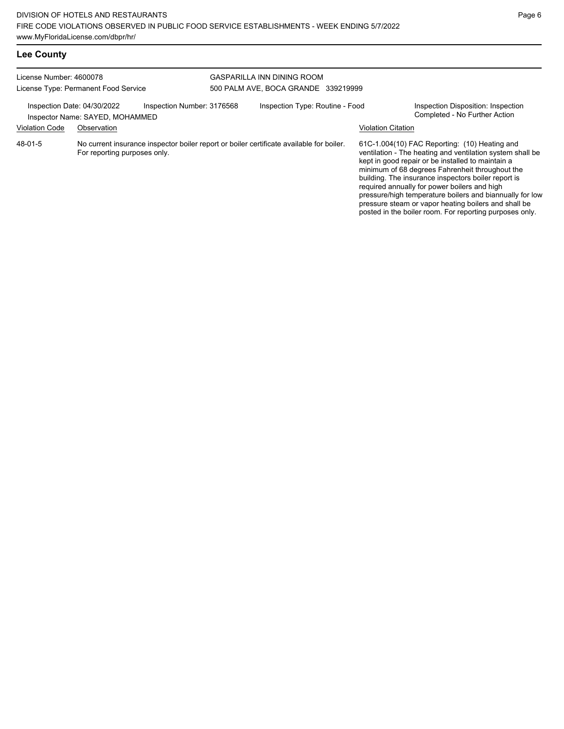pressure steam or vapor heating boilers and shall be posted in the boiler room. For reporting purposes only.

| Lee County                                                                                                                                                      |                                                                                                                          |  |                                     |                                   |                                                                                                                                                                                                                                                                                                                                                                                       |  |  |  |
|-----------------------------------------------------------------------------------------------------------------------------------------------------------------|--------------------------------------------------------------------------------------------------------------------------|--|-------------------------------------|-----------------------------------|---------------------------------------------------------------------------------------------------------------------------------------------------------------------------------------------------------------------------------------------------------------------------------------------------------------------------------------------------------------------------------------|--|--|--|
| License Number: 4600078<br>License Type: Permanent Food Service<br>Inspection Date: 04/30/2022<br>Inspection Number: 3176568<br>Inspector Name: SAYED, MOHAMMED |                                                                                                                          |  |                                     | <b>GASPARILLA INN DINING ROOM</b> |                                                                                                                                                                                                                                                                                                                                                                                       |  |  |  |
|                                                                                                                                                                 |                                                                                                                          |  | 500 PALM AVE, BOCA GRANDE 339219999 |                                   |                                                                                                                                                                                                                                                                                                                                                                                       |  |  |  |
|                                                                                                                                                                 |                                                                                                                          |  |                                     | Inspection Type: Routine - Food   | Inspection Disposition: Inspection<br>Completed - No Further Action                                                                                                                                                                                                                                                                                                                   |  |  |  |
| <b>Violation Code</b>                                                                                                                                           | Observation                                                                                                              |  |                                     |                                   | <b>Violation Citation</b>                                                                                                                                                                                                                                                                                                                                                             |  |  |  |
| 48-01-5                                                                                                                                                         | No current insurance inspector boiler report or boiler certificate available for boiler.<br>For reporting purposes only. |  |                                     |                                   | 61C-1.004(10) FAC Reporting: (10) Heating and<br>ventilation - The heating and ventilation system shall be<br>kept in good repair or be installed to maintain a<br>minimum of 68 degrees Fahrenheit throughout the<br>building. The insurance inspectors boiler report is<br>required annually for power boilers and high<br>pressure/high temperature boilers and biannually for low |  |  |  |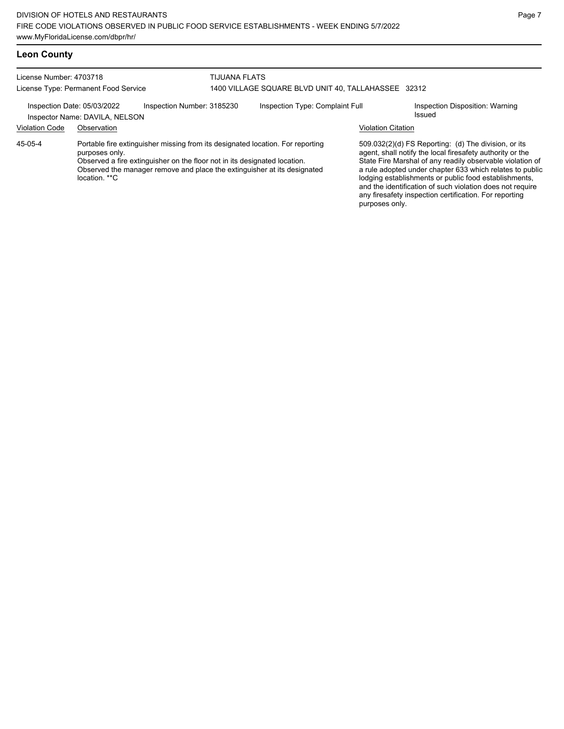## **Leon County**

| License Number: 4703718                                                                     | License Type: Permanent Food Service | TIJUANA FLATS<br>1400 VILLAGE SQUARE BLVD UNIT 40, TALLAHASSEE 32312                                                                                                                                                                    |  |                                           |                                                                                                                                                                                                                                                                                                                                                                                                                            |  |
|---------------------------------------------------------------------------------------------|--------------------------------------|-----------------------------------------------------------------------------------------------------------------------------------------------------------------------------------------------------------------------------------------|--|-------------------------------------------|----------------------------------------------------------------------------------------------------------------------------------------------------------------------------------------------------------------------------------------------------------------------------------------------------------------------------------------------------------------------------------------------------------------------------|--|
| Inspection Number: 3185230<br>Inspection Date: 05/03/2022<br>Inspector Name: DAVILA, NELSON |                                      | Inspection Type: Complaint Full                                                                                                                                                                                                         |  | Inspection Disposition: Warning<br>Issued |                                                                                                                                                                                                                                                                                                                                                                                                                            |  |
| <b>Violation Code</b>                                                                       | Observation                          |                                                                                                                                                                                                                                         |  | <b>Violation Citation</b>                 |                                                                                                                                                                                                                                                                                                                                                                                                                            |  |
| 45-05-4                                                                                     | purposes only.<br>location. **C      | Portable fire extinguisher missing from its designated location. For reporting<br>Observed a fire extinguisher on the floor not in its designated location.<br>Observed the manager remove and place the extinguisher at its designated |  |                                           | 509.032(2)(d) FS Reporting: (d) The division, or its<br>agent, shall notify the local firesafety authority or the<br>State Fire Marshal of any readily observable violation of<br>a rule adopted under chapter 633 which relates to public<br>lodging establishments or public food establishments,<br>and the identification of such violation does not require<br>any firesafety inspection certification. For reporting |  |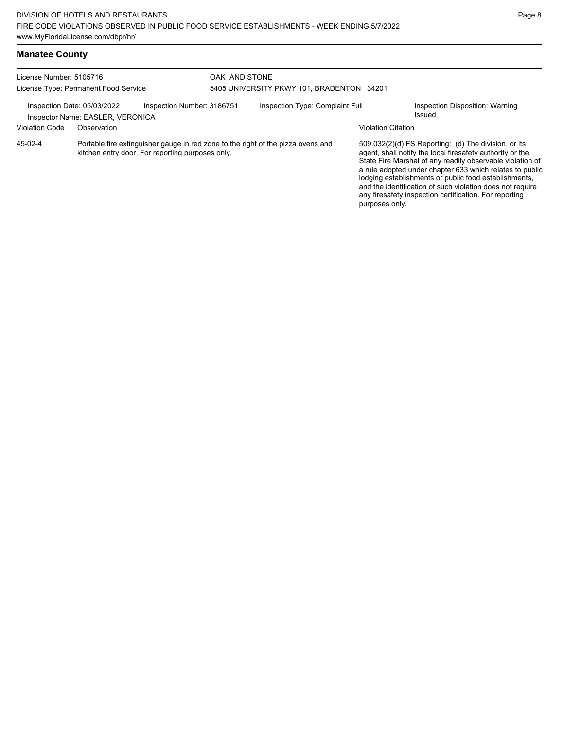| <b>Manatee County</b>                |             |  |  |  |  |  |
|--------------------------------------|-------------|--|--|--|--|--|
| License Number: 5105716              | OAK AND ST  |  |  |  |  |  |
| License Type: Permanent Food Service | 5405 UNIVER |  |  |  |  |  |

### ONE 5405 UNIVERSITY PKWY 101, BRADENTON 34201

Inspection Date: 05/03/2022 Inspection Number: 3186751 Inspection Type: Complaint Full Inspection Disposition: Warning<br>Inspector Name: EASLER VERONICA

Inspector Name: EASLER, VERONICA Violation Code Observation Violation Citation

Portable fire extinguisher gauge in red zone to the right of the pizza ovens and kitchen entry door. For reporting purposes only. 45-02-4

509.032(2)(d) FS Reporting: (d) The division, or its agent, shall notify the local firesafety authority or the State Fire Marshal of any readily observable violation of a rule adopted under chapter 633 which relates to public lodging establishments or public food establishments, and the identification of such violation does not require any firesafety inspection certification. For reporting purposes only.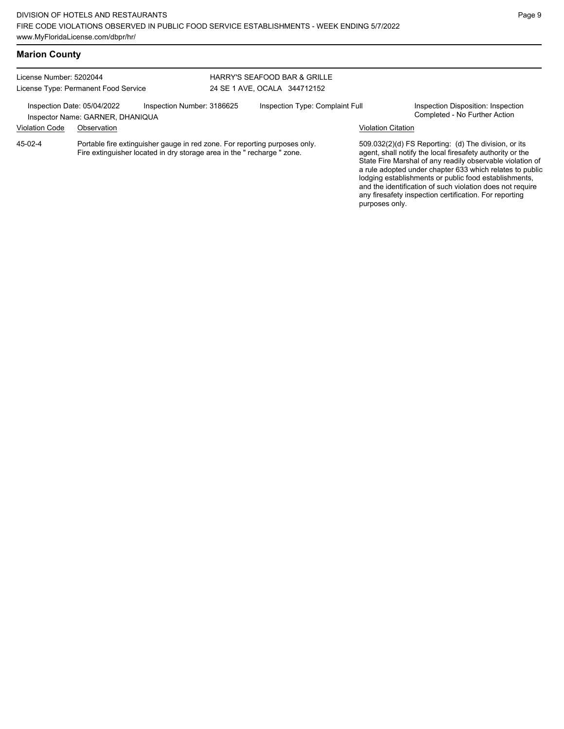any firesafety inspection certification. For reporting

| <b>Marion County</b>    |                                                                                                                                                      |                            |                                 |                                                                     |                                                                                                                                                                                                                                                                                                                                                                  |  |
|-------------------------|------------------------------------------------------------------------------------------------------------------------------------------------------|----------------------------|---------------------------------|---------------------------------------------------------------------|------------------------------------------------------------------------------------------------------------------------------------------------------------------------------------------------------------------------------------------------------------------------------------------------------------------------------------------------------------------|--|
| License Number: 5202044 |                                                                                                                                                      |                            | HARRY'S SEAFOOD BAR & GRILLE    |                                                                     |                                                                                                                                                                                                                                                                                                                                                                  |  |
|                         | License Type: Permanent Food Service                                                                                                                 |                            | 24 SE 1 AVE, OCALA 344712152    |                                                                     |                                                                                                                                                                                                                                                                                                                                                                  |  |
|                         | Inspection Date: 05/04/2022<br>Inspector Name: GARNER, DHANIQUA                                                                                      | Inspection Number: 3186625 | Inspection Type: Complaint Full | Inspection Disposition: Inspection<br>Completed - No Further Action |                                                                                                                                                                                                                                                                                                                                                                  |  |
| <b>Violation Code</b>   | Observation                                                                                                                                          |                            |                                 | <b>Violation Citation</b>                                           |                                                                                                                                                                                                                                                                                                                                                                  |  |
| $45-02-4$               | Portable fire extinguisher gauge in red zone. For reporting purposes only.<br>Fire extinguisher located in dry storage area in the "recharge " zone. |                            |                                 |                                                                     | 509.032(2)(d) FS Reporting: (d) The division, or its<br>agent, shall notify the local firesafety authority or the<br>State Fire Marshal of any readily observable violation of<br>a rule adopted under chapter 633 which relates to public<br>lodging establishments or public food establishments,<br>and the identification of such violation does not require |  |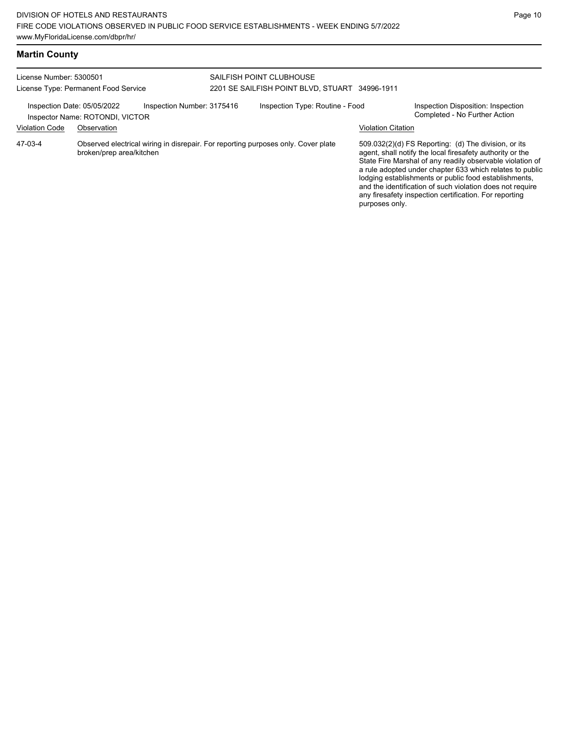|  | <b>Martin County</b> |
|--|----------------------|
|--|----------------------|

| License Number: 5300501                              | License Type: Permanent Food Service                                                                          | SAILFISH POINT CLUBHOUSE<br>2201 SE SAILFISH POINT BLVD, STUART 34996-1911 |                                 |                           |                                                                                                                                                                                                                                                                                                                                                                                                                              |
|------------------------------------------------------|---------------------------------------------------------------------------------------------------------------|----------------------------------------------------------------------------|---------------------------------|---------------------------|------------------------------------------------------------------------------------------------------------------------------------------------------------------------------------------------------------------------------------------------------------------------------------------------------------------------------------------------------------------------------------------------------------------------------|
| Inspection Date: 05/05/2022<br><b>Violation Code</b> | Inspection Number: 3175416<br>Inspector Name: ROTONDI, VICTOR<br>Observation                                  |                                                                            | Inspection Type: Routine - Food | <b>Violation Citation</b> | Inspection Disposition: Inspection<br>Completed - No Further Action                                                                                                                                                                                                                                                                                                                                                          |
| 47-03-4                                              | Observed electrical wiring in disrepair. For reporting purposes only. Cover plate<br>broken/prep area/kitchen |                                                                            |                                 | purposes only.            | $509.032(2)(d)$ FS Reporting: (d) The division, or its<br>agent, shall notify the local firesafety authority or the<br>State Fire Marshal of any readily observable violation of<br>a rule adopted under chapter 633 which relates to public<br>lodging establishments or public food establishments,<br>and the identification of such violation does not require<br>any firesafety inspection certification. For reporting |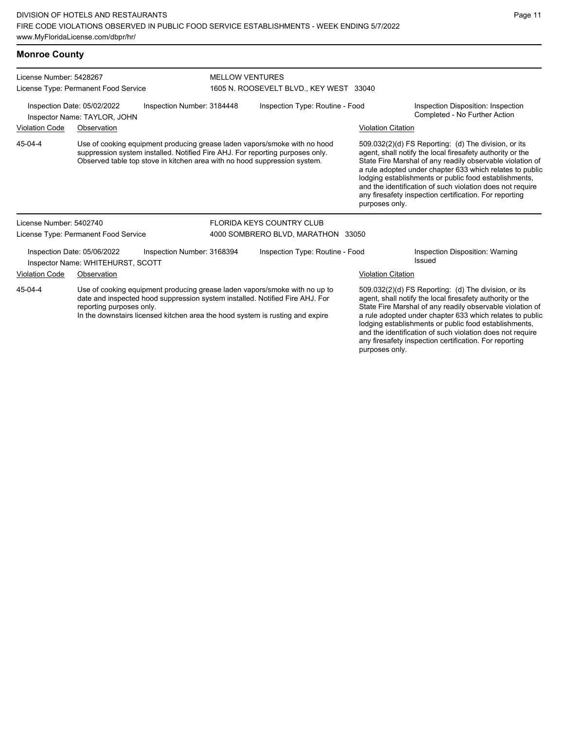| <b>Monroe County</b>                                                                           |                                                                                                                                                                                                                                                                         |                            |                                                                   |                           |                                                                                                                                                                                                                                                                                                                                                                                                                            |  |  |
|------------------------------------------------------------------------------------------------|-------------------------------------------------------------------------------------------------------------------------------------------------------------------------------------------------------------------------------------------------------------------------|----------------------------|-------------------------------------------------------------------|---------------------------|----------------------------------------------------------------------------------------------------------------------------------------------------------------------------------------------------------------------------------------------------------------------------------------------------------------------------------------------------------------------------------------------------------------------------|--|--|
| License Number: 5428267                                                                        | License Type: Permanent Food Service                                                                                                                                                                                                                                    |                            | <b>MELLOW VENTURES</b><br>1605 N. ROOSEVELT BLVD., KEY WEST 33040 |                           |                                                                                                                                                                                                                                                                                                                                                                                                                            |  |  |
|                                                                                                | Inspection Date: 05/02/2022<br>Inspector Name: TAYLOR, JOHN                                                                                                                                                                                                             | Inspection Number: 3184448 | Inspection Type: Routine - Food                                   |                           | Inspection Disposition: Inspection<br>Completed - No Further Action                                                                                                                                                                                                                                                                                                                                                        |  |  |
| <b>Violation Code</b>                                                                          | Observation                                                                                                                                                                                                                                                             |                            |                                                                   | <b>Violation Citation</b> |                                                                                                                                                                                                                                                                                                                                                                                                                            |  |  |
| 45-04-4                                                                                        | Use of cooking equipment producing grease laden vapors/smoke with no hood<br>suppression system installed. Notified Fire AHJ. For reporting purposes only.<br>Observed table top stove in kitchen area with no hood suppression system.                                 |                            |                                                                   | purposes only.            | 509.032(2)(d) FS Reporting: (d) The division, or its<br>agent, shall notify the local firesafety authority or the<br>State Fire Marshal of any readily observable violation of<br>a rule adopted under chapter 633 which relates to public<br>lodging establishments or public food establishments,<br>and the identification of such violation does not require<br>any firesafety inspection certification. For reporting |  |  |
| License Number: 5402740                                                                        |                                                                                                                                                                                                                                                                         |                            | <b>FLORIDA KEYS COUNTRY CLUB</b>                                  |                           |                                                                                                                                                                                                                                                                                                                                                                                                                            |  |  |
|                                                                                                | License Type: Permanent Food Service                                                                                                                                                                                                                                    |                            | 4000 SOMBRERO BLVD, MARATHON 33050                                |                           |                                                                                                                                                                                                                                                                                                                                                                                                                            |  |  |
| Inspection Number: 3168394<br>Inspection Date: 05/06/2022<br>Inspector Name: WHITEHURST, SCOTT |                                                                                                                                                                                                                                                                         |                            | Inspection Type: Routine - Food                                   |                           | Inspection Disposition: Warning<br>Issued                                                                                                                                                                                                                                                                                                                                                                                  |  |  |
| <b>Violation Code</b>                                                                          | Observation                                                                                                                                                                                                                                                             |                            | <b>Violation Citation</b>                                         |                           |                                                                                                                                                                                                                                                                                                                                                                                                                            |  |  |
| 45-04-4                                                                                        | Use of cooking equipment producing grease laden vapors/smoke with no up to<br>date and inspected hood suppression system installed. Notified Fire AHJ. For<br>reporting purposes only.<br>In the downstairs licensed kitchen area the hood system is rusting and expire |                            |                                                                   |                           | 509.032(2)(d) FS Reporting: (d) The division, or its<br>agent, shall notify the local firesafety authority or the<br>State Fire Marshal of any readily observable violation of<br>a rule adopted under chapter 633 which relates to public<br>lodging establishments or public food establishments,                                                                                                                        |  |  |

and the identification of such violation does not require any firesafety inspection certification. For reporting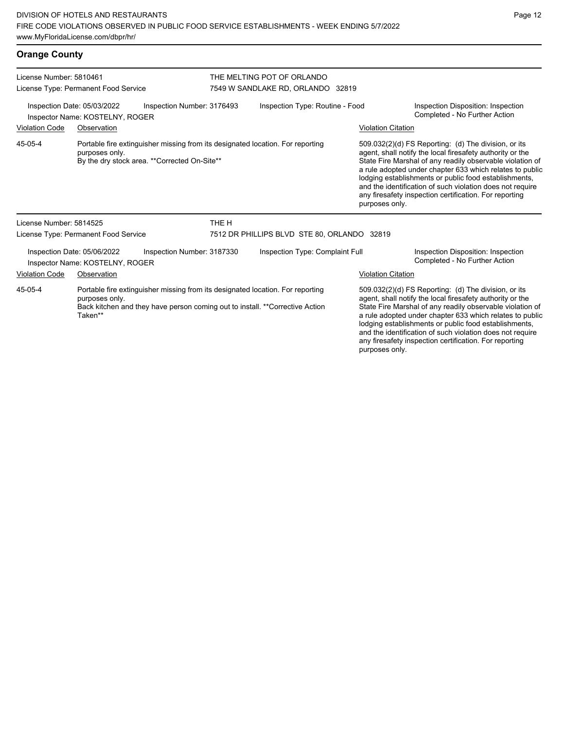| <b>Orange County</b>                                                                                                         |                                                                                                                                                   |  |                                                                                                             |                                                                 |                                                                                                                   |                                                                                                                                                                                                                                                                                                                                                                                                                                              |  |  |
|------------------------------------------------------------------------------------------------------------------------------|---------------------------------------------------------------------------------------------------------------------------------------------------|--|-------------------------------------------------------------------------------------------------------------|-----------------------------------------------------------------|-------------------------------------------------------------------------------------------------------------------|----------------------------------------------------------------------------------------------------------------------------------------------------------------------------------------------------------------------------------------------------------------------------------------------------------------------------------------------------------------------------------------------------------------------------------------------|--|--|
| License Number: 5810461<br>License Type: Permanent Food Service                                                              |                                                                                                                                                   |  |                                                                                                             | THE MELTING POT OF ORLANDO<br>7549 W SANDLAKE RD, ORLANDO 32819 |                                                                                                                   |                                                                                                                                                                                                                                                                                                                                                                                                                                              |  |  |
| Inspection Date: 05/03/2022<br>Inspection Number: 3176493<br>Inspector Name: KOSTELNY, ROGER                                 |                                                                                                                                                   |  |                                                                                                             | Inspection Type: Routine - Food                                 |                                                                                                                   | Inspection Disposition: Inspection<br>Completed - No Further Action                                                                                                                                                                                                                                                                                                                                                                          |  |  |
| <b>Violation Code</b><br>Observation                                                                                         |                                                                                                                                                   |  |                                                                                                             |                                                                 | Violation Citation                                                                                                |                                                                                                                                                                                                                                                                                                                                                                                                                                              |  |  |
| 45-05-4                                                                                                                      | Portable fire extinguisher missing from its designated location. For reporting<br>purposes only.<br>By the dry stock area. ** Corrected On-Site** |  |                                                                                                             |                                                                 |                                                                                                                   | 509.032(2)(d) FS Reporting: (d) The division, or its<br>agent, shall notify the local firesafety authority or the<br>State Fire Marshal of any readily observable violation of<br>a rule adopted under chapter 633 which relates to public<br>lodging establishments or public food establishments,<br>and the identification of such violation does not require<br>any firesafety inspection certification. For reporting<br>purposes only. |  |  |
| License Number: 5814525                                                                                                      |                                                                                                                                                   |  | THE H                                                                                                       |                                                                 |                                                                                                                   |                                                                                                                                                                                                                                                                                                                                                                                                                                              |  |  |
|                                                                                                                              | License Type: Permanent Food Service                                                                                                              |  | 7512 DR PHILLIPS BLVD STE 80, ORLANDO 32819                                                                 |                                                                 |                                                                                                                   |                                                                                                                                                                                                                                                                                                                                                                                                                                              |  |  |
| Inspection Number: 3187330<br>Inspection Date: 05/06/2022<br>Inspector Name: KOSTELNY, ROGER                                 |                                                                                                                                                   |  | Inspection Type: Complaint Full                                                                             |                                                                 |                                                                                                                   | Inspection Disposition: Inspection<br>Completed - No Further Action                                                                                                                                                                                                                                                                                                                                                                          |  |  |
| <b>Violation Code</b>                                                                                                        | Observation                                                                                                                                       |  |                                                                                                             |                                                                 | <b>Violation Citation</b>                                                                                         |                                                                                                                                                                                                                                                                                                                                                                                                                                              |  |  |
| 45-05-4<br>Portable fire extinguisher missing from its designated location. For reporting<br>purposes only.<br>$\cdots$<br>. |                                                                                                                                                   |  | $\mathbf{r}$ , and $\mathbf{r}$ , and $\mathbf{r}$ , and $\mathbf{r}$ , and $\mathbf{r}$ , and $\mathbf{r}$ |                                                                 | 509.032(2)(d) FS Reporting: (d) The division, or its<br>agent, shall notify the local firesafety authority or the |                                                                                                                                                                                                                                                                                                                                                                                                                                              |  |  |

Back kitchen and they have person coming out to install. \*\*Corrective Action Taken\*\*

State Fire Marshal of any readily observable violation of a rule adopted under chapter 633 which relates to public lodging establishments or public food establishments, and the identification of such violation does not require any firesafety inspection certification. For reporting purposes only.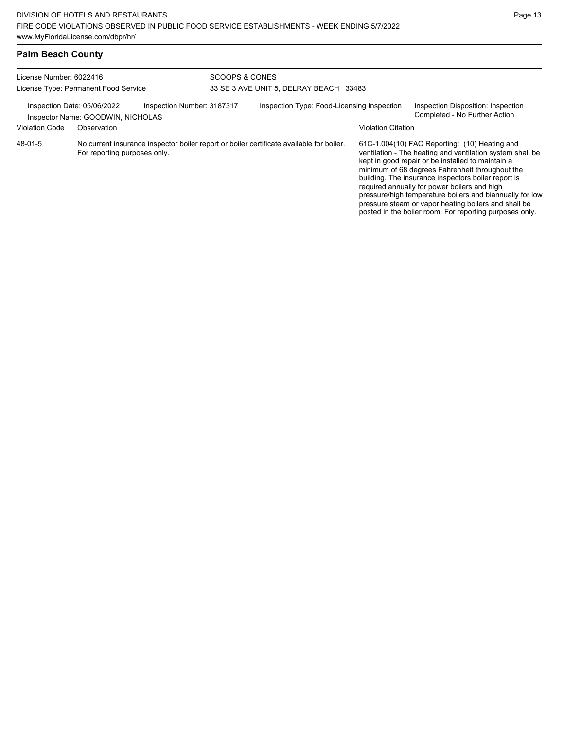posted in the boiler room. For reporting purposes only.

# **Palm Beach County**

| License Number: 6022416<br>License Type: Permanent Food Service<br>Inspection Number: 3187317<br>Inspection Date: 05/06/2022<br>Inspector Name: GOODWIN, NICHOLAS |                              |  | SCOOPS & CONES | 33 SE 3 AVE UNIT 5, DELRAY BEACH 33483                                                   |                           |                                                                                                                                                                                                                                                                                                                                                                                                                                               |
|-------------------------------------------------------------------------------------------------------------------------------------------------------------------|------------------------------|--|----------------|------------------------------------------------------------------------------------------|---------------------------|-----------------------------------------------------------------------------------------------------------------------------------------------------------------------------------------------------------------------------------------------------------------------------------------------------------------------------------------------------------------------------------------------------------------------------------------------|
|                                                                                                                                                                   |                              |  |                | Inspection Type: Food-Licensing Inspection                                               |                           | Inspection Disposition: Inspection<br>Completed - No Further Action                                                                                                                                                                                                                                                                                                                                                                           |
| <b>Violation Code</b>                                                                                                                                             | Observation                  |  |                |                                                                                          | <b>Violation Citation</b> |                                                                                                                                                                                                                                                                                                                                                                                                                                               |
| 48-01-5                                                                                                                                                           | For reporting purposes only. |  |                | No current insurance inspector boiler report or boiler certificate available for boiler. |                           | 61C-1.004(10) FAC Reporting: (10) Heating and<br>ventilation - The heating and ventilation system shall be<br>kept in good repair or be installed to maintain a<br>minimum of 68 degrees Fahrenheit throughout the<br>building. The insurance inspectors boiler report is<br>required annually for power boilers and high<br>pressure/high temperature boilers and biannually for low<br>pressure steam or vapor heating boilers and shall be |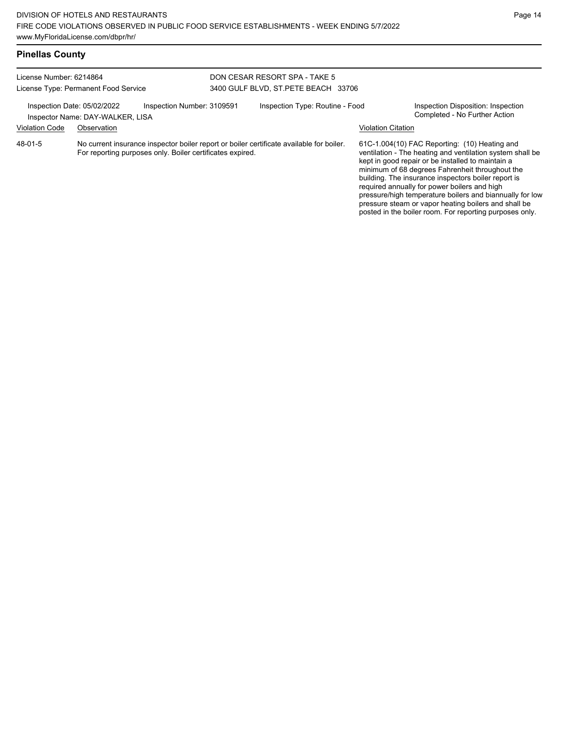pressure steam or vapor heating boilers and shall be posted in the boiler room. For reporting purposes only.

| <b>Pinellas County</b>                                                                                                                                           |             |                                                           |                                                                      |                                                                                          |                                              |                                                                                                                                                                                                                                                                                                                                       |
|------------------------------------------------------------------------------------------------------------------------------------------------------------------|-------------|-----------------------------------------------------------|----------------------------------------------------------------------|------------------------------------------------------------------------------------------|----------------------------------------------|---------------------------------------------------------------------------------------------------------------------------------------------------------------------------------------------------------------------------------------------------------------------------------------------------------------------------------------|
| License Number: 6214864<br>License Type: Permanent Food Service<br>Inspection Number: 3109591<br>Inspection Date: 05/02/2022<br>Inspector Name: DAY-WALKER, LISA |             |                                                           | DON CESAR RESORT SPA - TAKE 5<br>3400 GULF BLVD, ST.PETE BEACH 33706 |                                                                                          |                                              |                                                                                                                                                                                                                                                                                                                                       |
|                                                                                                                                                                  |             |                                                           | Inspection Type: Routine - Food                                      |                                                                                          |                                              | Inspection Disposition: Inspection<br>Completed - No Further Action                                                                                                                                                                                                                                                                   |
| <b>Violation Code</b>                                                                                                                                            | Observation |                                                           |                                                                      |                                                                                          | <b>Violation Citation</b>                    |                                                                                                                                                                                                                                                                                                                                       |
| 48-01-5                                                                                                                                                          |             | For reporting purposes only. Boiler certificates expired. |                                                                      | No current insurance inspector boiler report or boiler certificate available for boiler. | required annually for power boilers and high | 61C-1.004(10) FAC Reporting: (10) Heating and<br>ventilation - The heating and ventilation system shall be<br>kept in good repair or be installed to maintain a<br>minimum of 68 degrees Fahrenheit throughout the<br>building. The insurance inspectors boiler report is<br>pressure/high temperature boilers and biannually for low |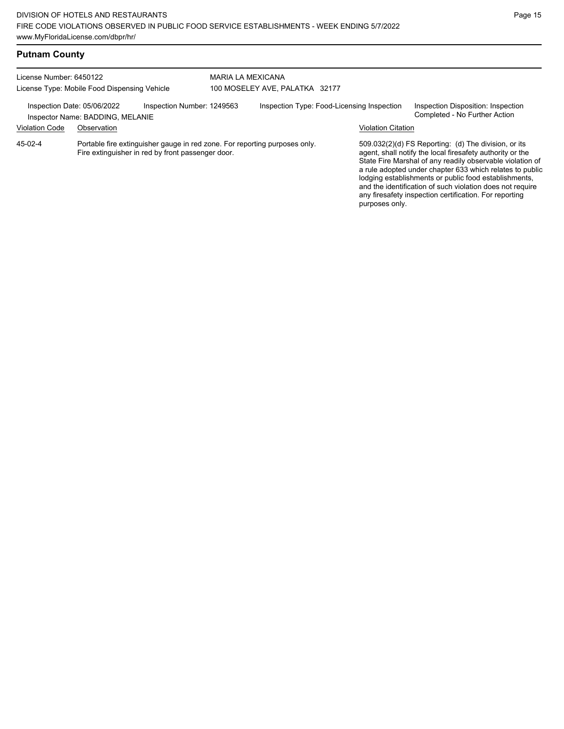# **Putnam County**

| License Number: 6450122<br>License Type: Mobile Food Dispensing Vehicle |                                                 |                                                                                                                                 | MARIA LA MEXICANA | 100 MOSELEY AVE, PALATKA 32177             |                           |                                                                                                                                                                                                                                                                                                                                                                                                                            |
|-------------------------------------------------------------------------|-------------------------------------------------|---------------------------------------------------------------------------------------------------------------------------------|-------------------|--------------------------------------------|---------------------------|----------------------------------------------------------------------------------------------------------------------------------------------------------------------------------------------------------------------------------------------------------------------------------------------------------------------------------------------------------------------------------------------------------------------------|
| Inspection Date: 05/06/2022<br><b>Violation Code</b>                    | Inspector Name: BADDING, MELANIE<br>Observation | Inspection Number: 1249563                                                                                                      |                   | Inspection Type: Food-Licensing Inspection | <b>Violation Citation</b> | Inspection Disposition: Inspection<br>Completed - No Further Action                                                                                                                                                                                                                                                                                                                                                        |
| 45-02-4                                                                 |                                                 | Portable fire extinguisher gauge in red zone. For reporting purposes only.<br>Fire extinguisher in red by front passenger door. |                   |                                            | purposes only.            | 509.032(2)(d) FS Reporting: (d) The division, or its<br>agent, shall notify the local firesafety authority or the<br>State Fire Marshal of any readily observable violation of<br>a rule adopted under chapter 633 which relates to public<br>lodging establishments or public food establishments,<br>and the identification of such violation does not require<br>any firesafety inspection certification. For reporting |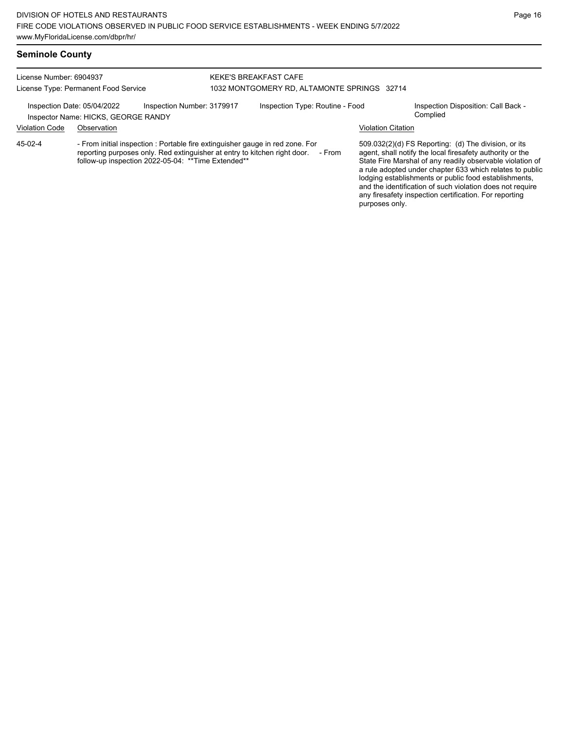#### License Number: 6904937 License Type: Permanent Food Service KEKE'S BREAKFAST CAFE 1032 MONTGOMERY RD, ALTAMONTE SPRINGS 32714 Inspection Date: 05/04/2022 Inspection Number: 3179917 Inspection Type: Routine - Food Inspection Disposition: Call Back -Inspector Name: HICKS, GEORGE RANDY **Complied** Violation Code Observation Violation Citation - From initial inspection : Portable fire extinguisher gauge in red zone. For reporting purposes only. Red extinguisher at entry to kitchen right door. - From follow-up inspection 2022-05-04: \*\*Time Extended\*\* 509.032(2)(d) FS Reporting: (d) The division, or its agent, shall notify the local firesafety authority or the State Fire Marshal of any readily observable violation of a rule adopted under chapter 633 which relates to public lodging establishments or public food establishments, and the identification of such violation does not require any firesafety inspection certification. For reporting 45-02-4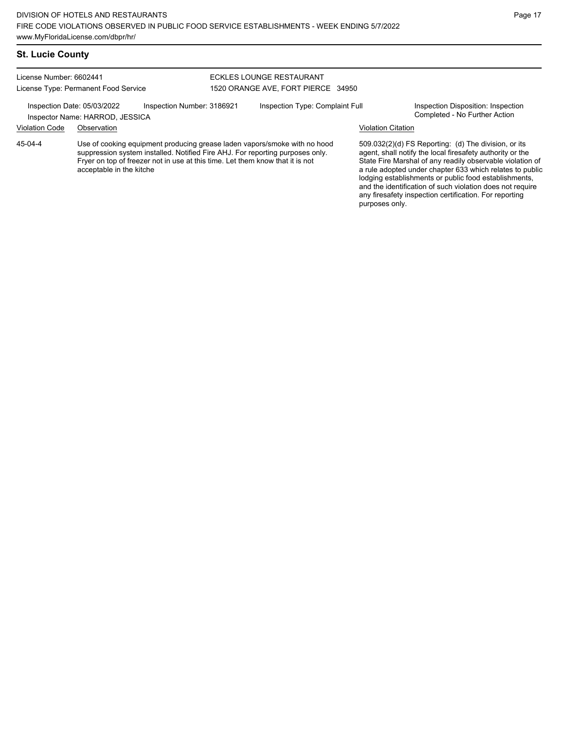Use of cooking equipment producing grease laden vapors/smoke with no hood suppression system installed. Notified Fire AHJ. For reporting purposes only. Fryer on top of freezer not in use at this time. Let them know that it is not

45-04-4

License Number: 6602441 License Type: Permanent Food Service ECKLES LOUNGE RESTAURANT 1520 ORANGE AVE, FORT PIERCE 34950 Inspection Date: 05/03/2022 Inspection Number: 3186921 Inspection Type: Complaint Full Inspection Disposition: Inspection<br>Inspector Name: HARROD, IESSICA Inspector Name: HARROD, JESSICA Violation Code Observation Violation Citation

acceptable in the kitche

509.032(2)(d) FS Reporting: (d) The division, or its agent, shall notify the local firesafety authority or the State Fire Marshal of any readily observable violation of a rule adopted under chapter 633 which relates to public lodging establishments or public food establishments, and the identification of such violation does not require any firesafety inspection certification. For reporting purposes only.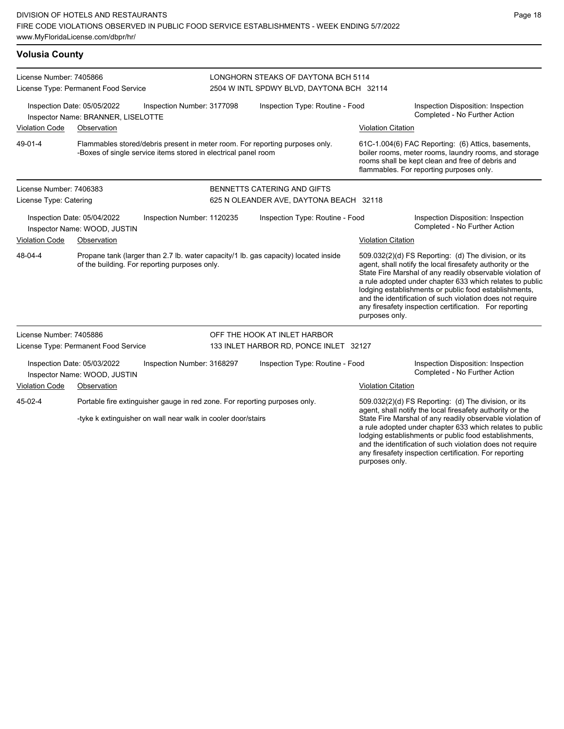| <b>Volusia County</b>                                           |                                                                                                                                            |                            |                                                                                                       |                           |                                                                                                                                                                                                                                                                                                                                                                                                                            |  |  |
|-----------------------------------------------------------------|--------------------------------------------------------------------------------------------------------------------------------------------|----------------------------|-------------------------------------------------------------------------------------------------------|---------------------------|----------------------------------------------------------------------------------------------------------------------------------------------------------------------------------------------------------------------------------------------------------------------------------------------------------------------------------------------------------------------------------------------------------------------------|--|--|
| License Number: 7405866<br>License Type: Permanent Food Service |                                                                                                                                            |                            | LONGHORN STEAKS OF DAYTONA BCH 5114<br>2504 W INTL SPDWY BLVD, DAYTONA BCH 32114                      |                           |                                                                                                                                                                                                                                                                                                                                                                                                                            |  |  |
| <b>Violation Code</b>                                           | Inspection Date: 05/05/2022<br>Inspector Name: BRANNER, LISELOTTE<br>Observation                                                           | Inspection Number: 3177098 | Inspection Type: Routine - Food                                                                       |                           | Inspection Disposition: Inspection<br>Completed - No Further Action<br><b>Violation Citation</b>                                                                                                                                                                                                                                                                                                                           |  |  |
| 49-01-4                                                         | -Boxes of single service items stored in electrical panel room                                                                             |                            | Flammables stored/debris present in meter room. For reporting purposes only.                          |                           | 61C-1.004(6) FAC Reporting: (6) Attics, basements,<br>boiler rooms, meter rooms, laundry rooms, and storage<br>rooms shall be kept clean and free of debris and<br>flammables. For reporting purposes only.                                                                                                                                                                                                                |  |  |
| License Number: 7406383<br>License Type: Catering               |                                                                                                                                            |                            | <b>BENNETTS CATERING AND GIFTS</b><br>625 N OLEANDER AVE, DAYTONA BEACH 32118                         |                           |                                                                                                                                                                                                                                                                                                                                                                                                                            |  |  |
| <b>Violation Code</b>                                           | Inspection Date: 05/04/2022<br>Inspector Name: WOOD, JUSTIN<br>Observation                                                                 | Inspection Number: 1120235 | Inspection Type: Routine - Food<br><b>Violation Citation</b>                                          |                           | Inspection Disposition: Inspection<br>Completed - No Further Action                                                                                                                                                                                                                                                                                                                                                        |  |  |
| 48-04-4                                                         | of the building. For reporting purposes only.                                                                                              |                            | Propane tank (larger than 2.7 lb. water capacity/1 lb. gas capacity) located inside<br>purposes only. |                           | 509.032(2)(d) FS Reporting: (d) The division, or its<br>agent, shall notify the local firesafety authority or the<br>State Fire Marshal of any readily observable violation of<br>a rule adopted under chapter 633 which relates to public<br>lodging establishments or public food establishments,<br>and the identification of such violation does not require<br>any firesafety inspection certification. For reporting |  |  |
| License Number: 7405886                                         |                                                                                                                                            |                            | OFF THE HOOK AT INLET HARBOR                                                                          |                           |                                                                                                                                                                                                                                                                                                                                                                                                                            |  |  |
|                                                                 | License Type: Permanent Food Service                                                                                                       |                            | 133 INLET HARBOR RD, PONCE INLET 32127                                                                |                           |                                                                                                                                                                                                                                                                                                                                                                                                                            |  |  |
|                                                                 | Inspection Date: 05/03/2022<br>Inspector Name: WOOD, JUSTIN                                                                                | Inspection Number: 3168297 | Inspection Type: Routine - Food                                                                       |                           | Inspection Disposition: Inspection<br>Completed - No Further Action                                                                                                                                                                                                                                                                                                                                                        |  |  |
| <b>Violation Code</b>                                           | Observation                                                                                                                                |                            |                                                                                                       | <b>Violation Citation</b> |                                                                                                                                                                                                                                                                                                                                                                                                                            |  |  |
| 45-02-4                                                         | Portable fire extinguisher gauge in red zone. For reporting purposes only.<br>-tyke k extinguisher on wall near walk in cooler door/stairs |                            |                                                                                                       |                           | 509.032(2)(d) FS Reporting: (d) The division, or its<br>agent, shall notify the local firesafety authority or the<br>State Fire Marshal of any readily observable violation of<br>a rule adopted under chapter 633 which relates to public<br>lodging establishments or public food establishments,<br>and the identification of such violation does not require<br>any firesafety inspection certification. For reporting |  |  |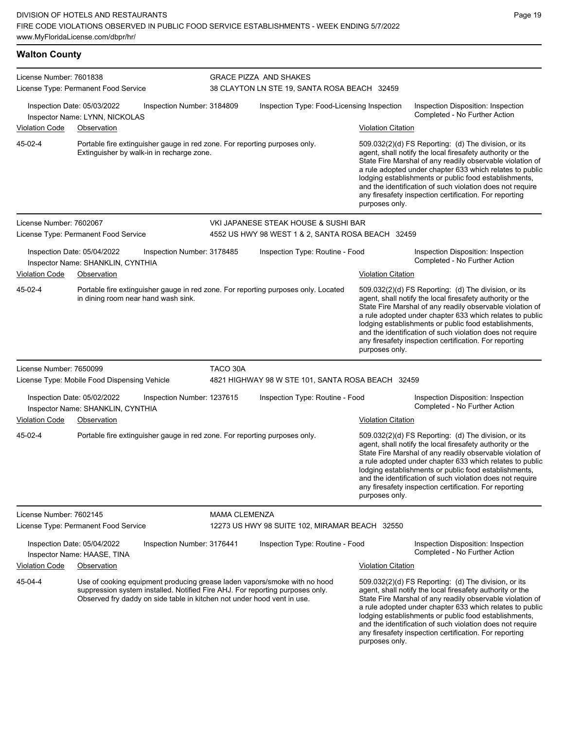any firesafety inspection certification. For reporting

| <b>Walton County</b>                                                                        |                                                                                                                                                                                                                                       |                                                                                                                         |                                                                                           |                                                                                                                                                                                                                                                                                                                                                                                                                                              |                                                                                                                                                                                                                                                                                                                                                                                                                            |  |  |
|---------------------------------------------------------------------------------------------|---------------------------------------------------------------------------------------------------------------------------------------------------------------------------------------------------------------------------------------|-------------------------------------------------------------------------------------------------------------------------|-------------------------------------------------------------------------------------------|----------------------------------------------------------------------------------------------------------------------------------------------------------------------------------------------------------------------------------------------------------------------------------------------------------------------------------------------------------------------------------------------------------------------------------------------|----------------------------------------------------------------------------------------------------------------------------------------------------------------------------------------------------------------------------------------------------------------------------------------------------------------------------------------------------------------------------------------------------------------------------|--|--|
| License Number: 7601838                                                                     | License Type: Permanent Food Service                                                                                                                                                                                                  |                                                                                                                         | <b>GRACE PIZZA AND SHAKES</b><br>38 CLAYTON LN STE 19, SANTA ROSA BEACH 32459             |                                                                                                                                                                                                                                                                                                                                                                                                                                              |                                                                                                                                                                                                                                                                                                                                                                                                                            |  |  |
| Inspection Date: 05/03/2022<br>Inspection Number: 3184809<br>Inspector Name: LYNN, NICKOLAS |                                                                                                                                                                                                                                       | Inspection Type: Food-Licensing Inspection                                                                              |                                                                                           | Inspection Disposition: Inspection<br>Completed - No Further Action                                                                                                                                                                                                                                                                                                                                                                          |                                                                                                                                                                                                                                                                                                                                                                                                                            |  |  |
| <b>Violation Code</b>                                                                       | Observation                                                                                                                                                                                                                           |                                                                                                                         |                                                                                           | <b>Violation Citation</b>                                                                                                                                                                                                                                                                                                                                                                                                                    |                                                                                                                                                                                                                                                                                                                                                                                                                            |  |  |
| 45-02-4                                                                                     |                                                                                                                                                                                                                                       | Portable fire extinguisher gauge in red zone. For reporting purposes only.<br>Extinguisher by walk-in in recharge zone. |                                                                                           |                                                                                                                                                                                                                                                                                                                                                                                                                                              | 509.032(2)(d) FS Reporting: (d) The division, or its<br>agent, shall notify the local firesafety authority or the<br>State Fire Marshal of any readily observable violation of<br>a rule adopted under chapter 633 which relates to public<br>lodging establishments or public food establishments,<br>and the identification of such violation does not require<br>any firesafety inspection certification. For reporting |  |  |
| License Number: 7602067                                                                     | License Type: Permanent Food Service                                                                                                                                                                                                  |                                                                                                                         | VKI JAPANESE STEAK HOUSE & SUSHI BAR<br>4552 US HWY 98 WEST 1 & 2, SANTA ROSA BEACH 32459 |                                                                                                                                                                                                                                                                                                                                                                                                                                              |                                                                                                                                                                                                                                                                                                                                                                                                                            |  |  |
|                                                                                             | Inspection Date: 05/04/2022<br>Inspection Number: 3178485<br>Inspector Name: SHANKLIN, CYNTHIA                                                                                                                                        |                                                                                                                         | Inspection Type: Routine - Food                                                           |                                                                                                                                                                                                                                                                                                                                                                                                                                              | Inspection Disposition: Inspection<br>Completed - No Further Action                                                                                                                                                                                                                                                                                                                                                        |  |  |
| <b>Violation Code</b>                                                                       | Observation                                                                                                                                                                                                                           |                                                                                                                         |                                                                                           | <b>Violation Citation</b>                                                                                                                                                                                                                                                                                                                                                                                                                    |                                                                                                                                                                                                                                                                                                                                                                                                                            |  |  |
| 45-02-4                                                                                     | Portable fire extinguisher gauge in red zone. For reporting purposes only. Located<br>in dining room near hand wash sink.                                                                                                             |                                                                                                                         |                                                                                           | 509.032(2)(d) FS Reporting: (d) The division, or its<br>agent, shall notify the local firesafety authority or the<br>State Fire Marshal of any readily observable violation of<br>a rule adopted under chapter 633 which relates to public<br>lodging establishments or public food establishments,<br>and the identification of such violation does not require<br>any firesafety inspection certification. For reporting<br>purposes only. |                                                                                                                                                                                                                                                                                                                                                                                                                            |  |  |
| License Number: 7650099                                                                     | License Type: Mobile Food Dispensing Vehicle                                                                                                                                                                                          | TACO 30A                                                                                                                | 4821 HIGHWAY 98 W STE 101, SANTA ROSA BEACH 32459                                         |                                                                                                                                                                                                                                                                                                                                                                                                                                              |                                                                                                                                                                                                                                                                                                                                                                                                                            |  |  |
| <b>Violation Code</b>                                                                       | Inspection Date: 05/02/2022<br>Inspection Number: 1237615<br>Inspector Name: SHANKLIN, CYNTHIA<br>Observation                                                                                                                         |                                                                                                                         | Inspection Type: Routine - Food                                                           |                                                                                                                                                                                                                                                                                                                                                                                                                                              | Inspection Disposition: Inspection<br>Completed - No Further Action                                                                                                                                                                                                                                                                                                                                                        |  |  |
| $45-02-4$                                                                                   | Portable fire extinguisher gauge in red zone. For reporting purposes only.                                                                                                                                                            |                                                                                                                         |                                                                                           | <b>Violation Citation</b><br>purposes only.                                                                                                                                                                                                                                                                                                                                                                                                  | 509.032(2)(d) FS Reporting: (d) The division, or its<br>agent, shall notify the local firesafety authority or the<br>State Fire Marshal of any readily observable violation of<br>a rule adopted under chapter 633 which relates to public<br>lodging establishments or public food establishments,<br>and the identification of such violation does not require<br>any firesafety inspection certification. For reporting |  |  |
| License Number: 7602145                                                                     | License Type: Permanent Food Service                                                                                                                                                                                                  | <b>MAMA CLEMENZA</b>                                                                                                    | 12273 US HWY 98 SUITE 102, MIRAMAR BEACH 32550                                            |                                                                                                                                                                                                                                                                                                                                                                                                                                              |                                                                                                                                                                                                                                                                                                                                                                                                                            |  |  |
|                                                                                             | Inspection Date: 05/04/2022<br>Inspection Number: 3176441<br>Inspector Name: HAASE, TINA                                                                                                                                              |                                                                                                                         | Inspection Type: Routine - Food                                                           | Inspection Disposition: Inspection<br>Completed - No Further Action                                                                                                                                                                                                                                                                                                                                                                          |                                                                                                                                                                                                                                                                                                                                                                                                                            |  |  |
| <b>Violation Code</b>                                                                       | Observation                                                                                                                                                                                                                           |                                                                                                                         |                                                                                           | <b>Violation Citation</b>                                                                                                                                                                                                                                                                                                                                                                                                                    |                                                                                                                                                                                                                                                                                                                                                                                                                            |  |  |
| 45-04-4                                                                                     | Use of cooking equipment producing grease laden vapors/smoke with no hood<br>suppression system installed. Notified Fire AHJ. For reporting purposes only.<br>Observed fry daddy on side table in kitchen not under hood vent in use. |                                                                                                                         |                                                                                           |                                                                                                                                                                                                                                                                                                                                                                                                                                              | 509.032(2)(d) FS Reporting: (d) The division, or its<br>agent, shall notify the local firesafety authority or the<br>State Fire Marshal of any readily observable violation of<br>a rule adopted under chapter 633 which relates to public<br>lodging establishments or public food establishments,<br>and the identification of such violation does not require                                                           |  |  |